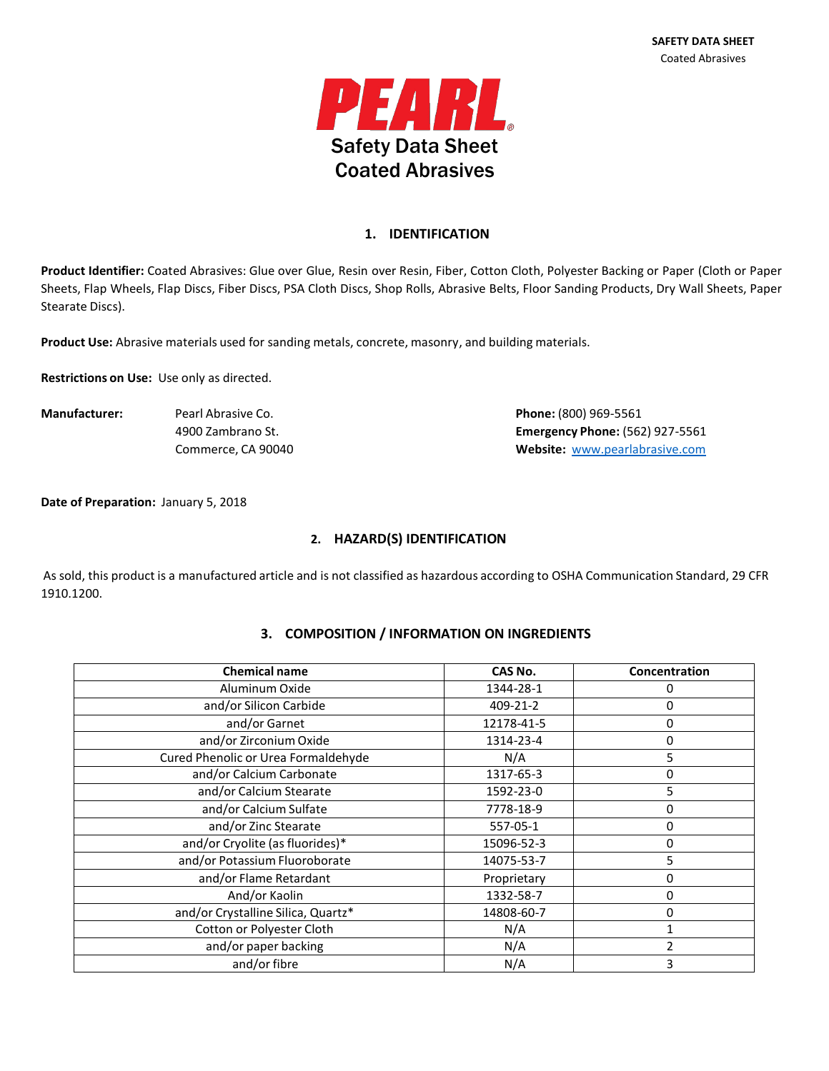

#### **1. IDENTIFICATION**

**Product Identifier:** Coated Abrasives: Glue over Glue, Resin over Resin, Fiber, Cotton Cloth, Polyester Backing or Paper (Cloth or Paper Sheets, Flap Wheels, Flap Discs, Fiber Discs, PSA Cloth Discs, Shop Rolls, Abrasive Belts, Floor Sanding Products, Dry Wall Sheets, Paper Stearate Discs).

**Product Use:** Abrasive materials used for sanding metals, concrete, masonry, and building materials.

**Restrictions on Use:** Use only as directed.

**Manufacturer:** Pearl Abrasive Co. **Phone:** (800) 969-5561 4900 Zambrano St. **Emergency Phone:** (562) 927-5561 Commerce, CA 90040 **Website:** [www.pearlabrasive.com](http://www.pearlabrasive.com/)

**Date of Preparation:** January 5, 2018

#### **2. HAZARD(S) IDENTIFICATION**

As sold, this product is a manufactured article and is not classified as hazardous according to OSHA Communication Standard, 29 CFR 1910.1200.

| <b>Chemical name</b>   | CAS No.    | Concentration |
|------------------------|------------|---------------|
| Aluminum Oxide         | 1344-28-1  |               |
| and/or Silicon Carbide | 409-21-2   |               |
| and/or Garnet          | 12178-41-5 |               |
| and/or Zirconium Oxide | 1314-23-4  |               |
|                        |            |               |

# **3. COMPOSITION / INFORMATION ON INGREDIENTS**

| and/or Silicon Carbide              | 409-21-2    | 0  |
|-------------------------------------|-------------|----|
| and/or Garnet                       | 12178-41-5  | 0  |
| and/or Zirconium Oxide              | 1314-23-4   | 0  |
| Cured Phenolic or Urea Formaldehyde | N/A         | 5. |
| and/or Calcium Carbonate            | 1317-65-3   | 0  |
| and/or Calcium Stearate             | 1592-23-0   | 5. |
| and/or Calcium Sulfate              | 7778-18-9   | 0  |
| and/or Zinc Stearate                | 557-05-1    | 0  |
| and/or Cryolite (as fluorides)*     | 15096-52-3  | 0  |
| and/or Potassium Fluoroborate       | 14075-53-7  | 5  |
| and/or Flame Retardant              | Proprietary | 0  |
| And/or Kaolin                       | 1332-58-7   | 0  |
| and/or Crystalline Silica, Quartz*  | 14808-60-7  | 0  |
| Cotton or Polyester Cloth           | N/A         |    |
| and/or paper backing                | N/A         |    |
| and/or fibre                        | N/A         | 3  |
|                                     |             |    |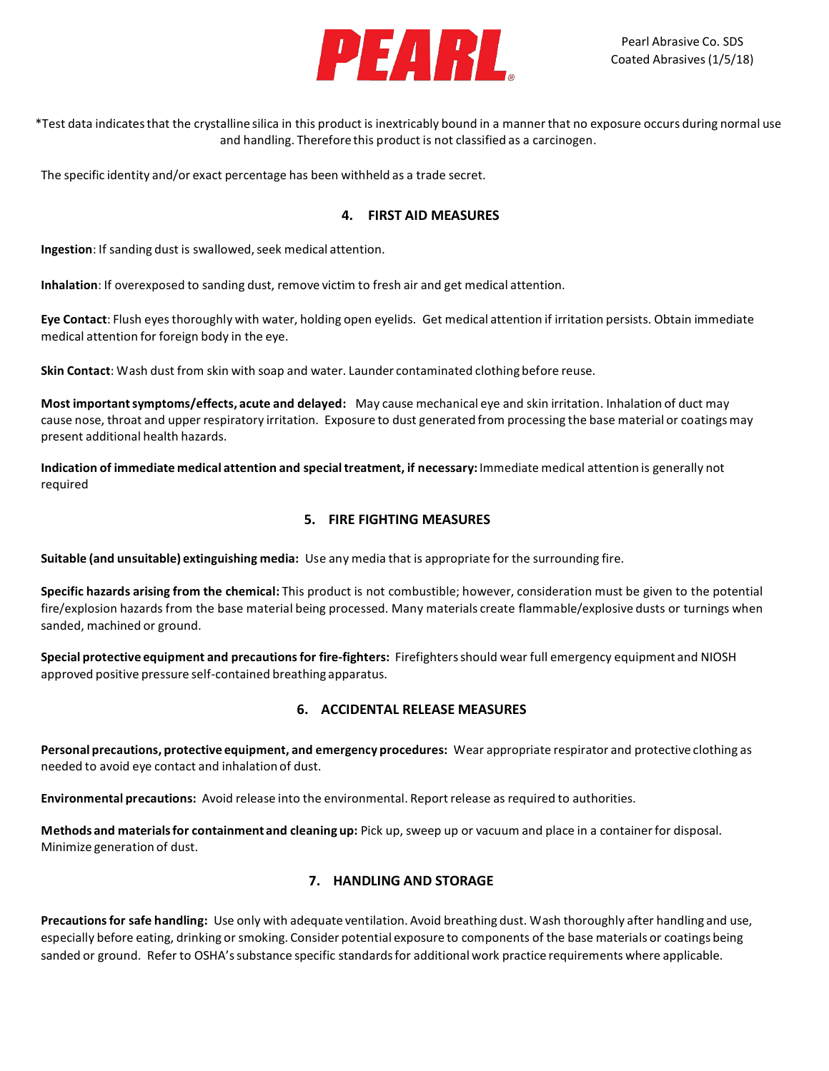

\*Test data indicatesthat the crystalline silica in this product is inextricably bound in a mannerthat no exposure occurs during normal use and handling. Therefore this product is not classified as a carcinogen.

The specific identity and/or exact percentage has been withheld as a trade secret.

#### **4. FIRST AID MEASURES**

**Ingestion**: If sanding dust is swallowed, seek medical attention.

**Inhalation**: If overexposed to sanding dust, remove victim to fresh air and get medical attention.

**Eye Contact**: Flush eyesthoroughly with water, holding open eyelids. Get medical attention if irritation persists. Obtain immediate medical attention for foreign body in the eye.

**Skin Contact**: Wash dust from skin with soap and water. Launder contaminated clothing before reuse.

**Most importantsymptoms/effects, acute and delayed:** May cause mechanical eye and skin irritation. Inhalation of duct may cause nose, throat and upper respiratory irritation. Exposure to dust generated from processing the base material or coatingsmay present additional health hazards.

**Indication of immediate medical attention and specialtreatment, if necessary:** Immediate medical attention is generally not required

#### **5. FIRE FIGHTING MEASURES**

**Suitable (and unsuitable) extinguishing media:** Use any media that is appropriate for the surrounding fire.

**Specific hazards arising from the chemical:** This product is not combustible; however, consideration must be given to the potential fire/explosion hazards from the base material being processed. Many materials create flammable/explosive dusts or turnings when sanded, machined or ground.

**Special protective equipment and precautionsfor fire-fighters:** Firefightersshould wear full emergency equipment and NIOSH approved positive pressure self-contained breathing apparatus.

### **6. ACCIDENTAL RELEASE MEASURES**

**Personal precautions, protective equipment, and emergency procedures:** Wear appropriate respirator and protective clothing as needed to avoid eye contact and inhalation of dust.

**Environmental precautions:** Avoid release into the environmental. Reportrelease as required to authorities.

**Methods and materialsfor containment and cleaning up:** Pick up, sweep up or vacuum and place in a containerfor disposal. Minimize generation of dust.

### **7. HANDLING AND STORAGE**

**Precautionsfor safe handling:** Use only with adequate ventilation. Avoid breathing dust. Wash thoroughly after handling and use, especially before eating, drinking or smoking. Consider potential exposure to components of the base materials or coatings being sanded or ground. Refer to OSHA's substance specific standards for additional work practice requirements where applicable.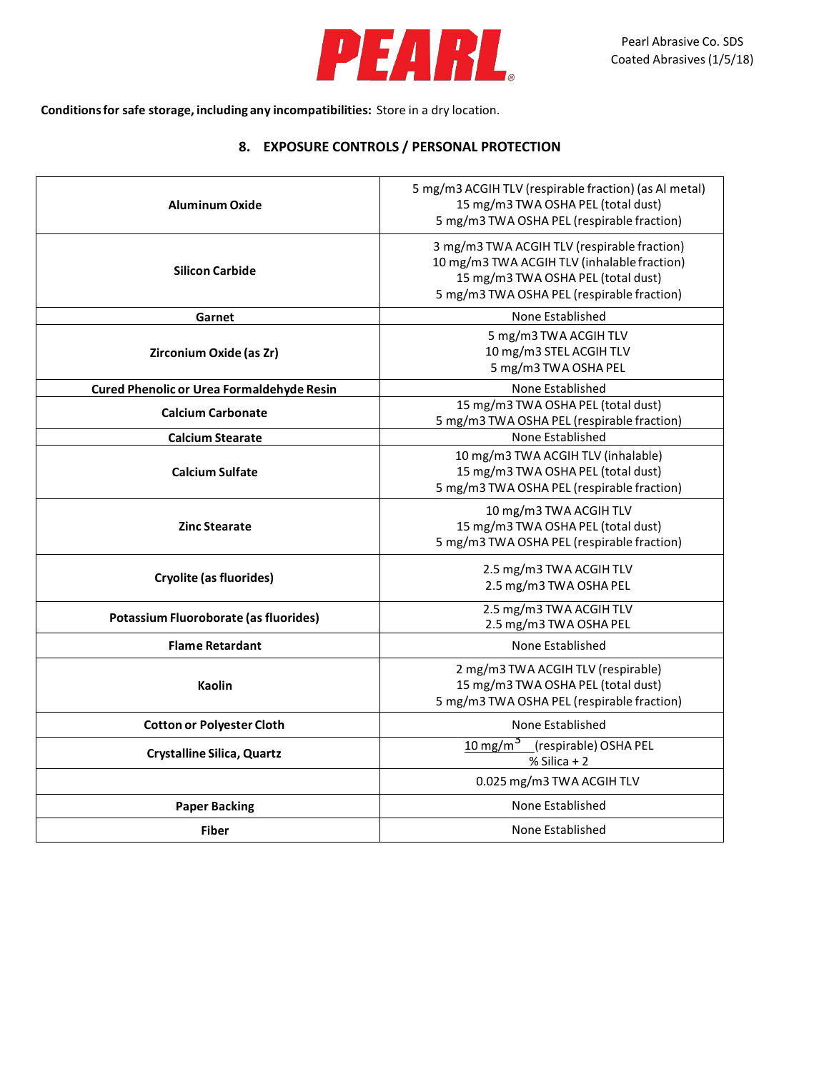

**Conditionsfor safe storage, including any incompatibilities:** Store in a dry location.

## **8. EXPOSURE CONTROLS / PERSONAL PROTECTION**

| Aluminum Oxide                                   | 5 mg/m3 ACGIH TLV (respirable fraction) (as Al metal)<br>15 mg/m3 TWA OSHA PEL (total dust)<br>5 mg/m3 TWA OSHA PEL (respirable fraction)                                      |  |
|--------------------------------------------------|--------------------------------------------------------------------------------------------------------------------------------------------------------------------------------|--|
| <b>Silicon Carbide</b>                           | 3 mg/m3 TWA ACGIH TLV (respirable fraction)<br>10 mg/m3 TWA ACGIH TLV (inhalable fraction)<br>15 mg/m3 TWA OSHA PEL (total dust)<br>5 mg/m3 TWA OSHA PEL (respirable fraction) |  |
| Garnet                                           | None Established                                                                                                                                                               |  |
| Zirconium Oxide (as Zr)                          | 5 mg/m3 TWA ACGIH TLV<br>10 mg/m3 STEL ACGIH TLV<br>5 mg/m3 TWA OSHA PEL                                                                                                       |  |
| <b>Cured Phenolic or Urea Formaldehyde Resin</b> | None Established                                                                                                                                                               |  |
| <b>Calcium Carbonate</b>                         | 15 mg/m3 TWA OSHA PEL (total dust)<br>5 mg/m3 TWA OSHA PEL (respirable fraction)                                                                                               |  |
| <b>Calcium Stearate</b>                          | None Established                                                                                                                                                               |  |
| <b>Calcium Sulfate</b>                           | 10 mg/m3 TWA ACGIH TLV (inhalable)<br>15 mg/m3 TWA OSHA PEL (total dust)<br>5 mg/m3 TWA OSHA PEL (respirable fraction)                                                         |  |
| <b>Zinc Stearate</b>                             | 10 mg/m3 TWA ACGIH TLV<br>15 mg/m3 TWA OSHA PEL (total dust)<br>5 mg/m3 TWA OSHA PEL (respirable fraction)                                                                     |  |
| <b>Cryolite (as fluorides)</b>                   | 2.5 mg/m3 TWA ACGIH TLV<br>2.5 mg/m3 TWA OSHA PEL                                                                                                                              |  |
| Potassium Fluoroborate (as fluorides)            | 2.5 mg/m3 TWA ACGIH TLV<br>2.5 mg/m3 TWA OSHA PEL                                                                                                                              |  |
| <b>Flame Retardant</b>                           | None Established                                                                                                                                                               |  |
| <b>Kaolin</b>                                    | 2 mg/m3 TWA ACGIH TLV (respirable)<br>15 mg/m3 TWA OSHA PEL (total dust)<br>5 mg/m3 TWA OSHA PEL (respirable fraction)                                                         |  |
| <b>Cotton or Polyester Cloth</b>                 | None Established                                                                                                                                                               |  |
| <b>Crystalline Silica, Quartz</b>                | 10 mg/m <sup>3</sup> (respirable) OSHA PEL<br>$%$ Silica + 2                                                                                                                   |  |
|                                                  | 0.025 mg/m3 TWA ACGIH TLV                                                                                                                                                      |  |
| <b>Paper Backing</b>                             | None Established                                                                                                                                                               |  |
| <b>Fiber</b>                                     | None Established                                                                                                                                                               |  |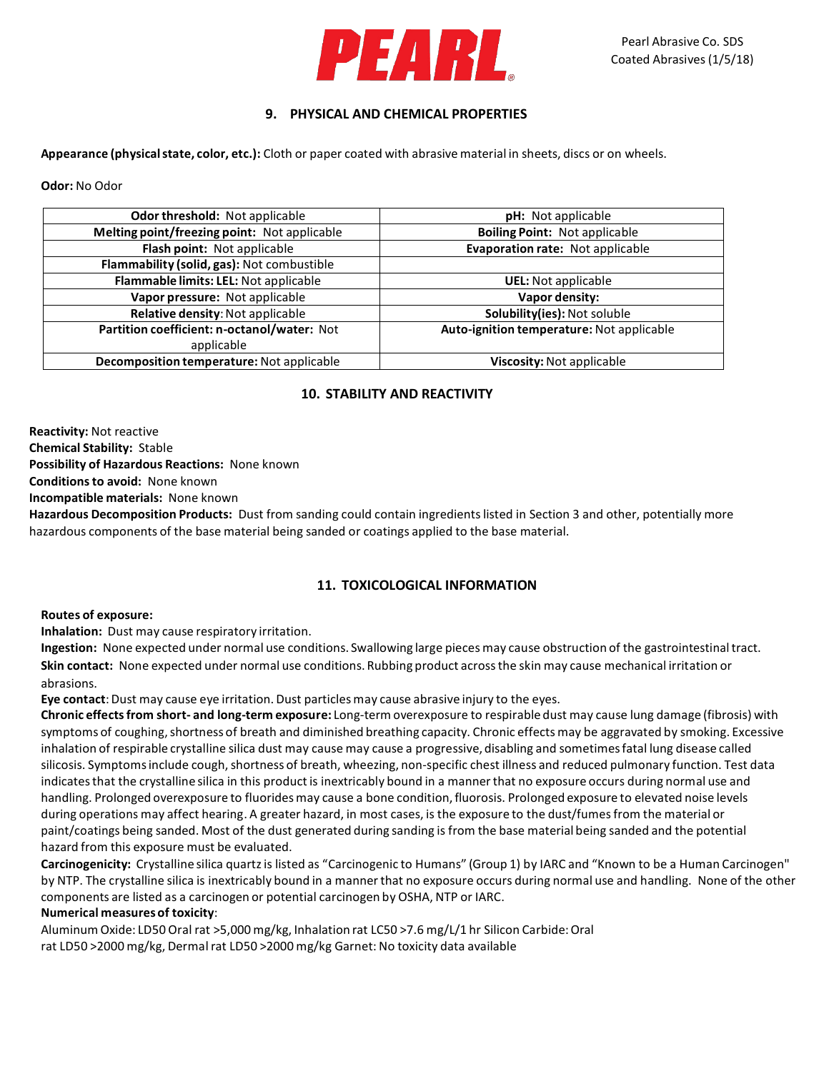

## **9. PHYSICAL AND CHEMICAL PROPERTIES**

**Appearance (physicalstate, color, etc.):** Cloth or paper coated with abrasive material in sheets, discs or on wheels.

**Odor:** No Odor

| <b>Odor threshold: Not applicable</b>        | <b>pH:</b> Not applicable                 |  |
|----------------------------------------------|-------------------------------------------|--|
| Melting point/freezing point: Not applicable | <b>Boiling Point: Not applicable</b>      |  |
| Flash point: Not applicable                  | Evaporation rate: Not applicable          |  |
| Flammability (solid, gas): Not combustible   |                                           |  |
| Flammable limits: LEL: Not applicable        | <b>UEL:</b> Not applicable                |  |
| Vapor pressure: Not applicable               | Vapor density:                            |  |
| Relative density: Not applicable             | Solubility(ies): Not soluble              |  |
| Partition coefficient: n-octanol/water: Not  | Auto-ignition temperature: Not applicable |  |
| applicable                                   |                                           |  |
| Decomposition temperature: Not applicable    | Viscosity: Not applicable                 |  |

### **10. STABILITY AND REACTIVITY**

**Reactivity:** Not reactive **Chemical Stability:** Stable **Possibility of Hazardous Reactions:** None known **Conditionsto avoid:** None known

**Incompatible materials:** None known

**Hazardous Decomposition Products:** Dust from sanding could contain ingredientslisted in Section 3 and other, potentially more hazardous components of the base material being sanded or coatings applied to the base material.

### **11. TOXICOLOGICAL INFORMATION**

**Routes of exposure:**

**Inhalation:** Dust may cause respiratory irritation.

**Ingestion:** None expected under normal use conditions. Swallowing large pieces may cause obstruction of the gastrointestinaltract. **Skin contact:** None expected under normal use conditions. Rubbing product acrossthe skin may cause mechanical irritation or abrasions.

**Eye contact**:Dust may cause eye irritation. Dust particlesmay cause abrasive injury to the eyes.

**Chronic effectsfrom short- and long-term exposure:** Long-term overexposure to respirable dust may cause lung damage (fibrosis) with symptoms of coughing, shortness of breath and diminished breathing capacity. Chronic effects may be aggravated by smoking. Excessive inhalation of respirable crystalline silica dust may cause may cause a progressive, disabling and sometimesfatal lung disease called silicosis. Symptoms include cough, shortness of breath, wheezing, non-specific chest illness and reduced pulmonary function. Test data indicates that the crystalline silica in this product is inextricably bound in a manner that no exposure occurs during normal use and handling. Prolonged overexposure to fluorides may cause a bone condition, fluorosis. Prolonged exposure to elevated noise levels during operations may affect hearing. A greater hazard, in most cases, is the exposure to the dust/fumesfrom the material or paint/coatings being sanded. Most of the dust generated during sanding is from the base material being sanded and the potential hazard from this exposure must be evaluated.

**Carcinogenicity:** Crystalline silica quartzis listed as "Carcinogenic to Humans" (Group 1) by IARC and "Known to be a Human Carcinogen" by NTP. The crystalline silica is inextricably bound in a mannerthat no exposure occurs during normal use and handling. None of the other components are listed as a carcinogen or potential carcinogen by OSHA, NTP or IARC.

#### **Numerical measuresof toxicity**:

Aluminum Oxide: LD50 Oral rat >5,000 mg/kg, Inhalation rat LC50 >7.6 mg/L/1 hr Silicon Carbide:Oral rat LD50 >2000 mg/kg, Dermal rat LD50 >2000 mg/kg Garnet: No toxicity data available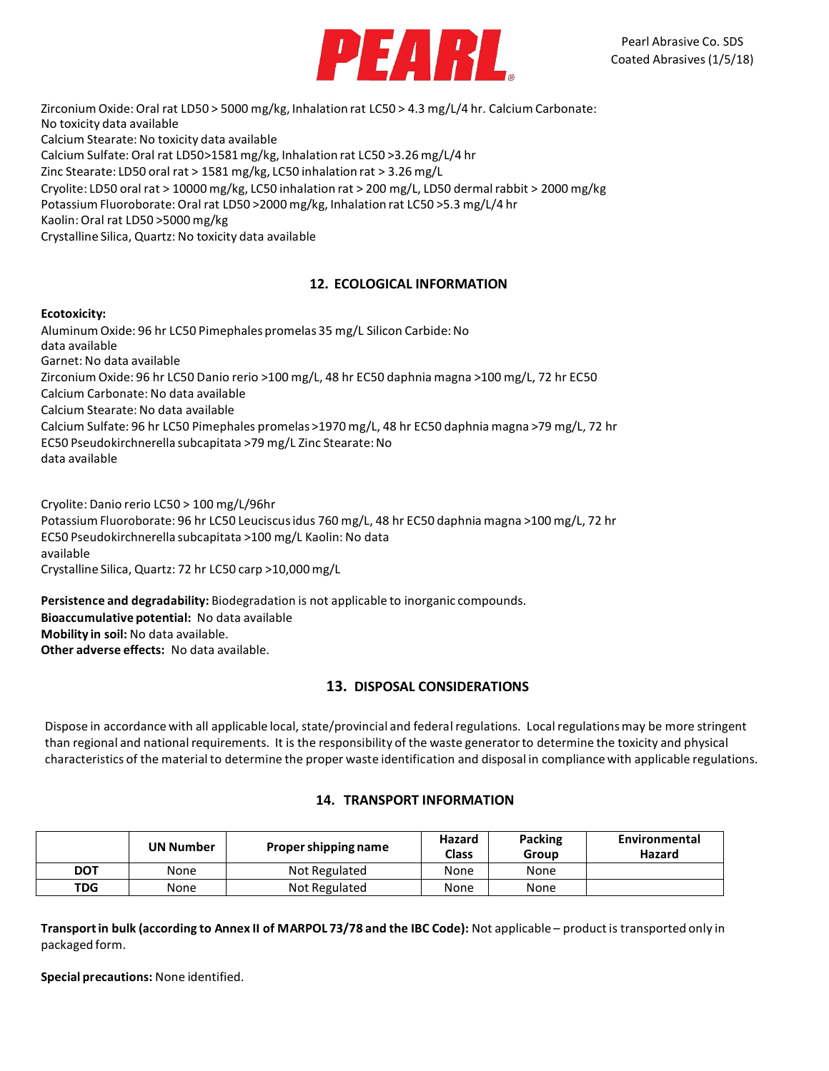

Zirconium Oxide: Oral rat LD50 > 5000 mg/kg, Inhalation rat LC50 > 4.3 mg/L/4 hr. Calcium Carbonate: No toxicity data available Calcium Stearate:No toxicity data available Calcium Sulfate: Oral rat LD50>1581mg/kg, Inhalation rat LC50 >3.26 mg/L/4 hr Zinc Stearate: LD50 oral rat > 1581 mg/kg, LC50 inhalation rat > 3.26 mg/L Cryolite: LD50 oral rat > 10000 mg/kg, LC50 inhalation rat > 200 mg/L, LD50 dermalrabbit > 2000 mg/kg Potassium Fluoroborate: Oral rat LD50 >2000 mg/kg, Inhalation rat LC50 >5.3 mg/L/4 hr Kaolin: Oral rat LD50 >5000 mg/kg Crystalline Silica, Quartz: No toxicity data available

### **12. ECOLOGICAL INFORMATION**

#### **Ecotoxicity:**

Aluminum Oxide: 96 hr LC50 Pimephales promelas 35 mg/L Silicon Carbide:No data available Garnet: No data available Zirconium Oxide: 96 hr LC50 Danio rerio >100 mg/L, 48 hr EC50 daphnia magna >100 mg/L, 72 hr EC50 Calcium Carbonate: No data available Calcium Stearate: No data available Calcium Sulfate: 96 hr LC50 Pimephales promelas >1970 mg/L, 48 hr EC50 daphnia magna >79 mg/L, 72 hr EC50 Pseudokirchnerella subcapitata >79 mg/L Zinc Stearate: No data available

Cryolite: Danio rerio LC50 > 100 mg/L/96hr Potassium Fluoroborate: 96 hr LC50 Leuciscusidus 760 mg/L, 48 hr EC50 daphnia magna >100 mg/L, 72 hr EC50 Pseudokirchnerella subcapitata >100 mg/L Kaolin: No data available Crystalline Silica, Quartz: 72 hr LC50 carp >10,000mg/L

**Persistence and degradability:** Biodegradation is not applicable to inorganic compounds. **Bioaccumulative potential:** No data available **Mobility in soil:** No data available. **Other adverse effects:** No data available.

### **13. DISPOSAL CONSIDERATIONS**

Dispose in accordance with all applicable local, state/provincial and federal regulations. Local regulations may be more stringent than regional and national requirements. It is the responsibility of the waste generator to determine the toxicity and physical characteristics of the material to determine the proper waste identification and disposal in compliancewith applicable regulations.

#### **14. TRANSPORT INFORMATION**

|            | <b>UN Number</b> | Proper shipping name | Hazard<br><b>Class</b> | Packing<br>Group | Environmental<br>Hazard |
|------------|------------------|----------------------|------------------------|------------------|-------------------------|
| <b>DOT</b> | None             | Not Regulated        | None                   | None             |                         |
| <b>TDG</b> | None             | Not Regulated        | None                   | None             |                         |

**Transportin bulk (according to Annex II of MARPOL 73/78 and the IBC Code):** Not applicable – product is transported only in packaged form.

**Special precautions:** None identified.